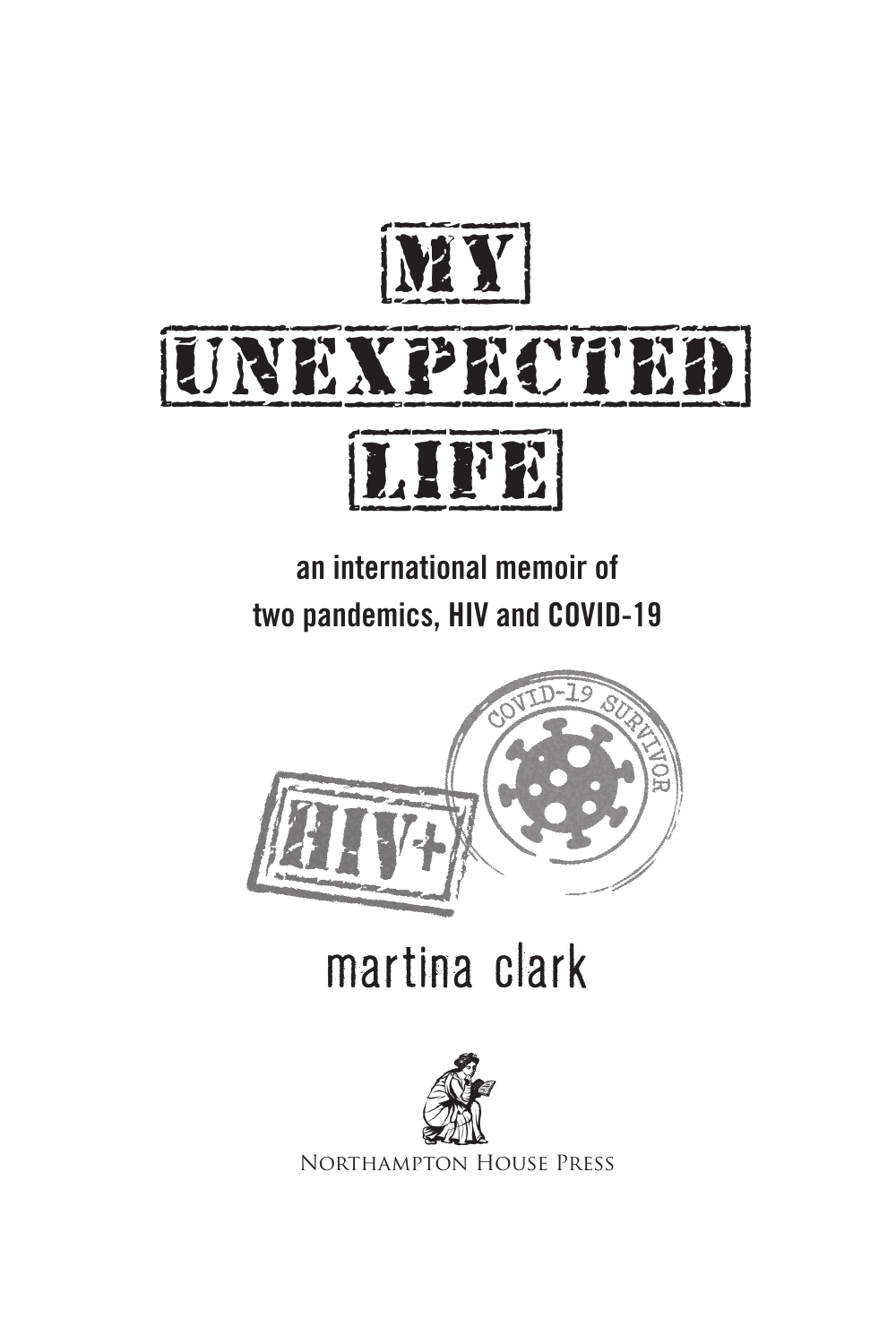



an international memoir of two pandemics, HIV and COVID-19



# martina clark



Northampton House Press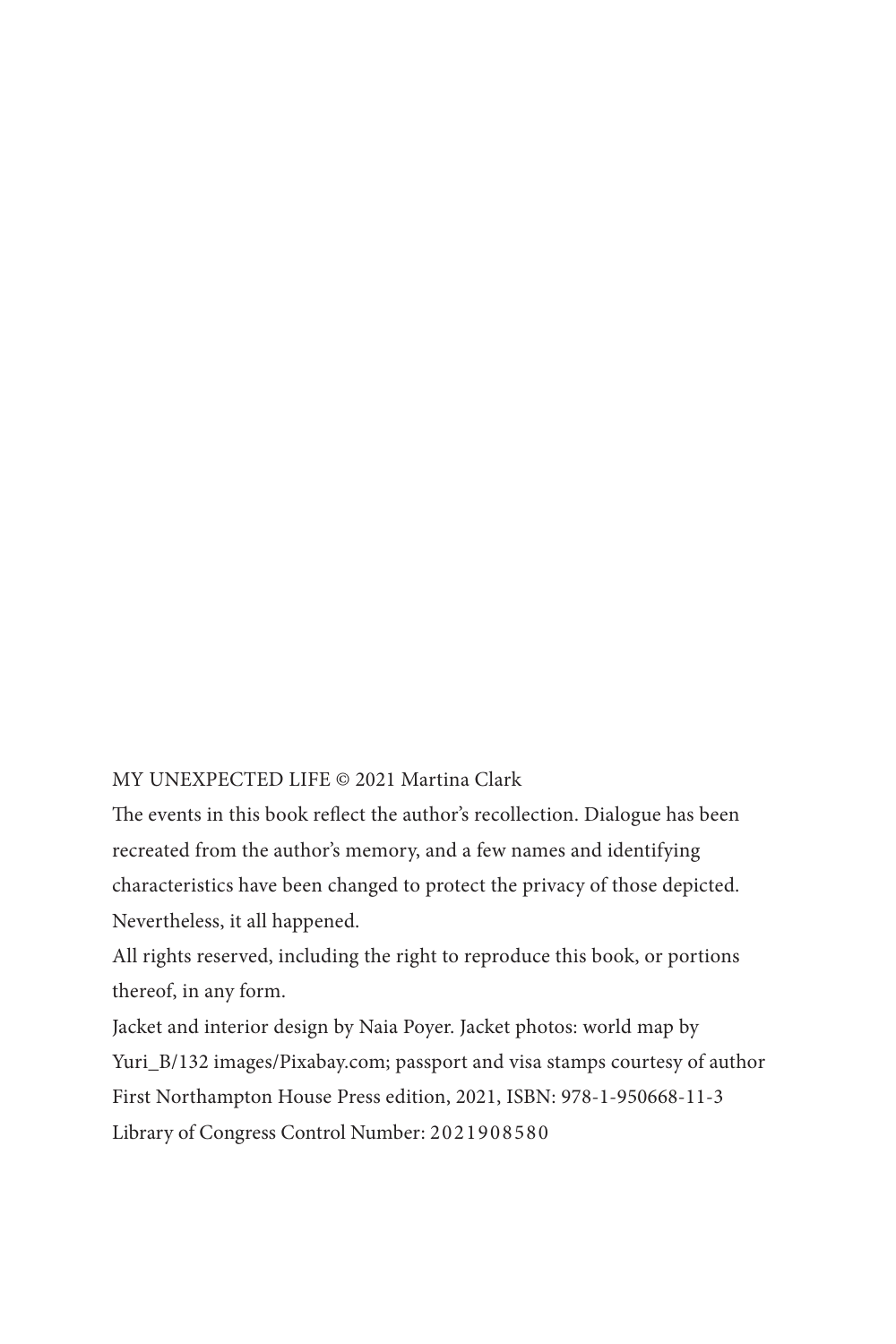#### MY UNEXPECTED LIFE © 2021 Martina Clark

The events in this book reflect the author's recollection. Dialogue has been recreated from the author's memory, and a few names and identifying characteristics have been changed to protect the privacy of those depicted. Nevertheless, it all happened.

All rights reserved, including the right to reproduce this book, or portions thereof, in any form.

Jacket and interior design by Naia Poyer. Jacket photos: world map by Yuri\_B/132 images/Pixabay.com; passport and visa stamps courtesy of author First Northampton House Press edition, 2021, ISBN: 978-1-950668-11-3 Library of Congress Control Number: 2021908580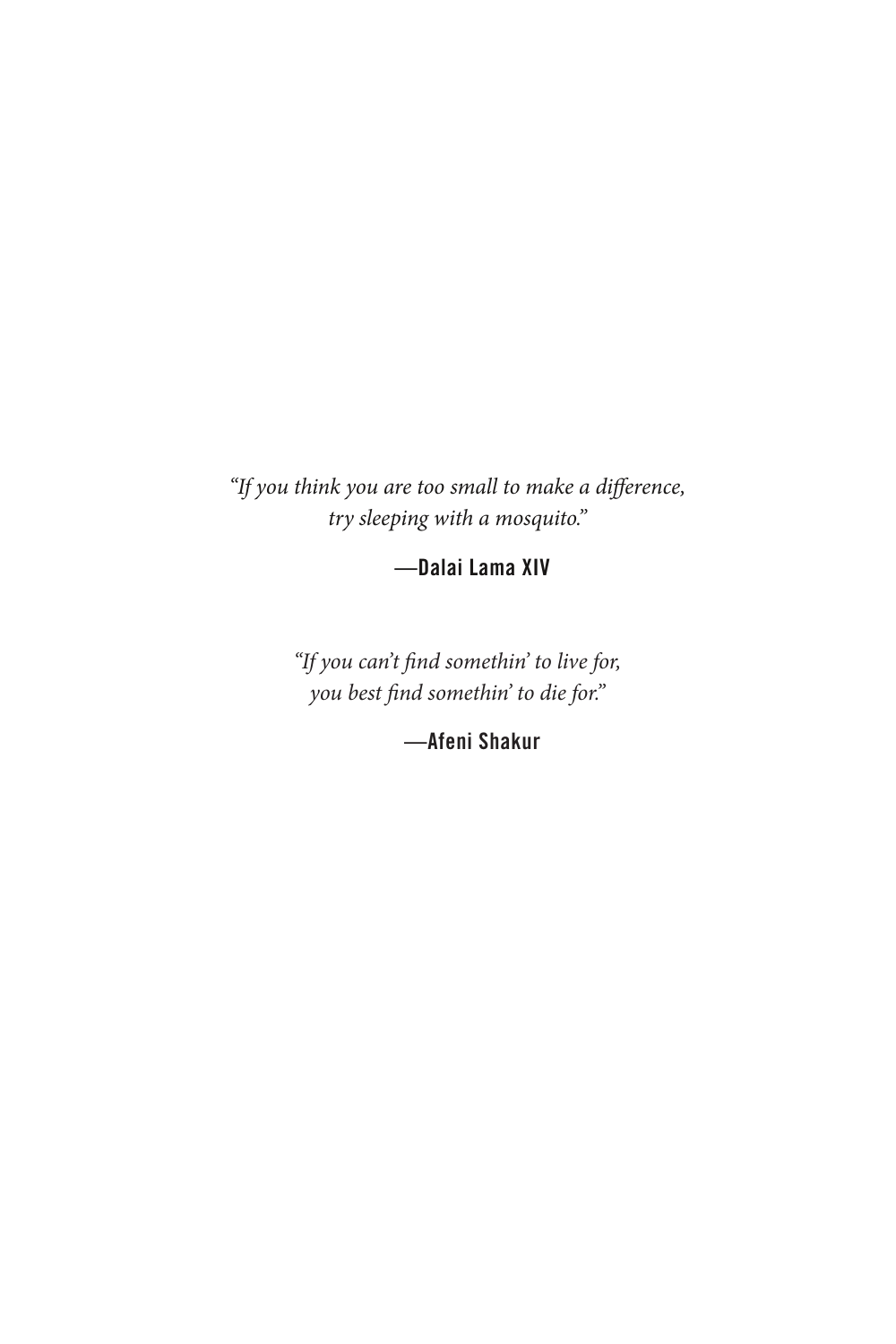*"If you think you are too small to make a di*!*erence, try sleeping with a mosquito."*

—Dalai Lama XIV

"If you can't find somethin' to live for, *you best find somethin' to die for."* 

—Afeni Shakur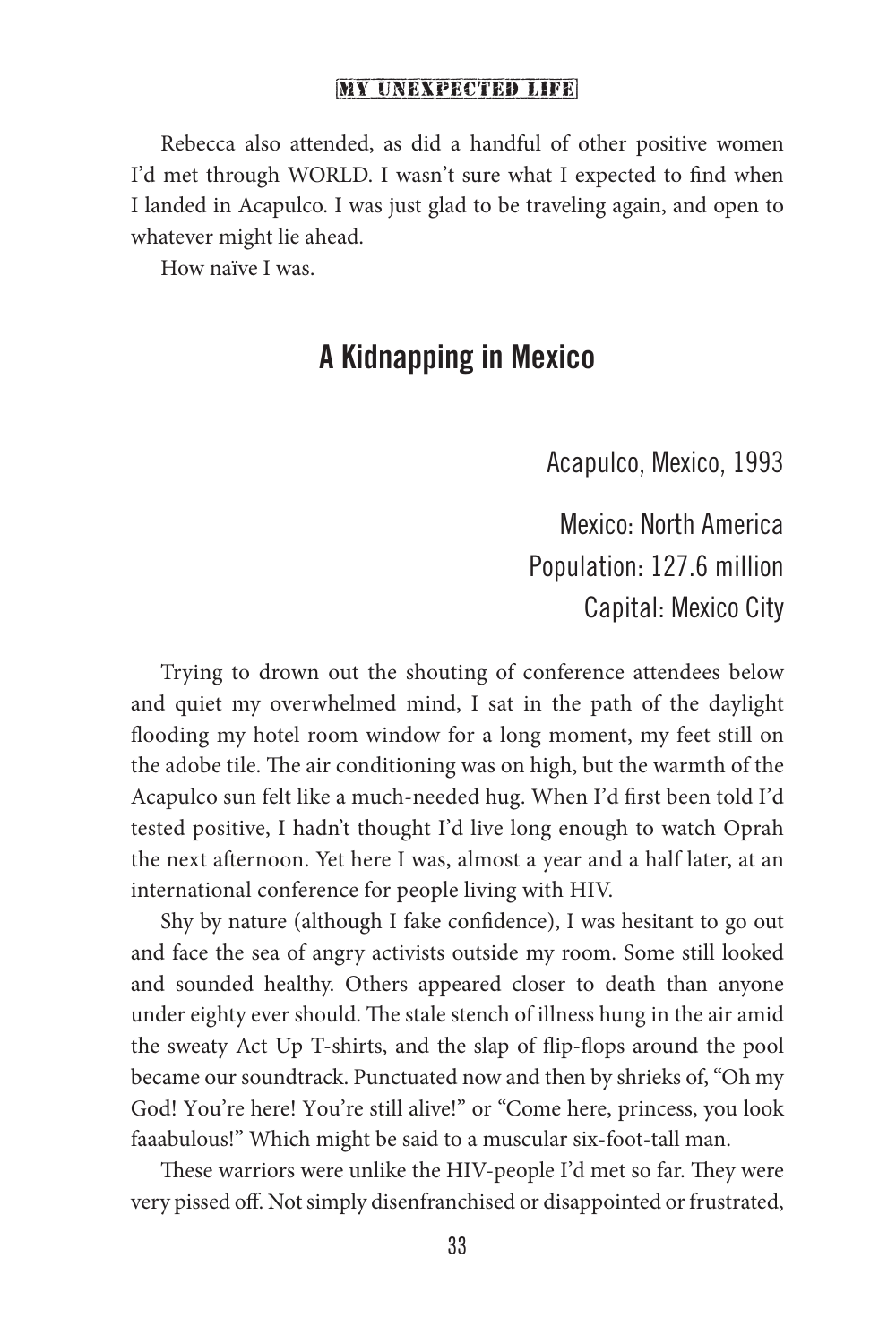Rebecca also attended, as did a handful of other positive women I'd met through WORLD. I wasn't sure what I expected to find when I landed in Acapulco. I was just glad to be traveling again, and open to whatever might lie ahead.

How naïve I was.

## A Kidnapping in Mexico

Acapulco, Mexico, 1993

Mexico: North America Population: 127.6 million Capital: Mexico City

Trying to drown out the shouting of conference attendees below and quiet my overwhelmed mind, I sat in the path of the daylight flooding my hotel room window for a long moment, my feet still on the adobe tile. The air conditioning was on high, but the warmth of the Acapulco sun felt like a much-needed hug. When I'd first been told I'd tested positive, I hadn't thought I'd live long enough to watch Oprah the next afternoon. Yet here I was, almost a year and a half later, at an international conference for people living with HIV.

Shy by nature (although I fake confidence), I was hesitant to go out and face the sea of angry activists outside my room. Some still looked and sounded healthy. Others appeared closer to death than anyone under eighty ever should. The stale stench of illness hung in the air amid the sweaty Act Up T-shirts, and the slap of flip-flops around the pool became our soundtrack. Punctuated now and then by shrieks of, "Oh my God! You're here! You're still alive!" or "Come here, princess, you look faaabulous!" Which might be said to a muscular six-foot-tall man.

These warriors were unlike the HIV-people I'd met so far. They were very pissed off. Not simply disenfranchised or disappointed or frustrated,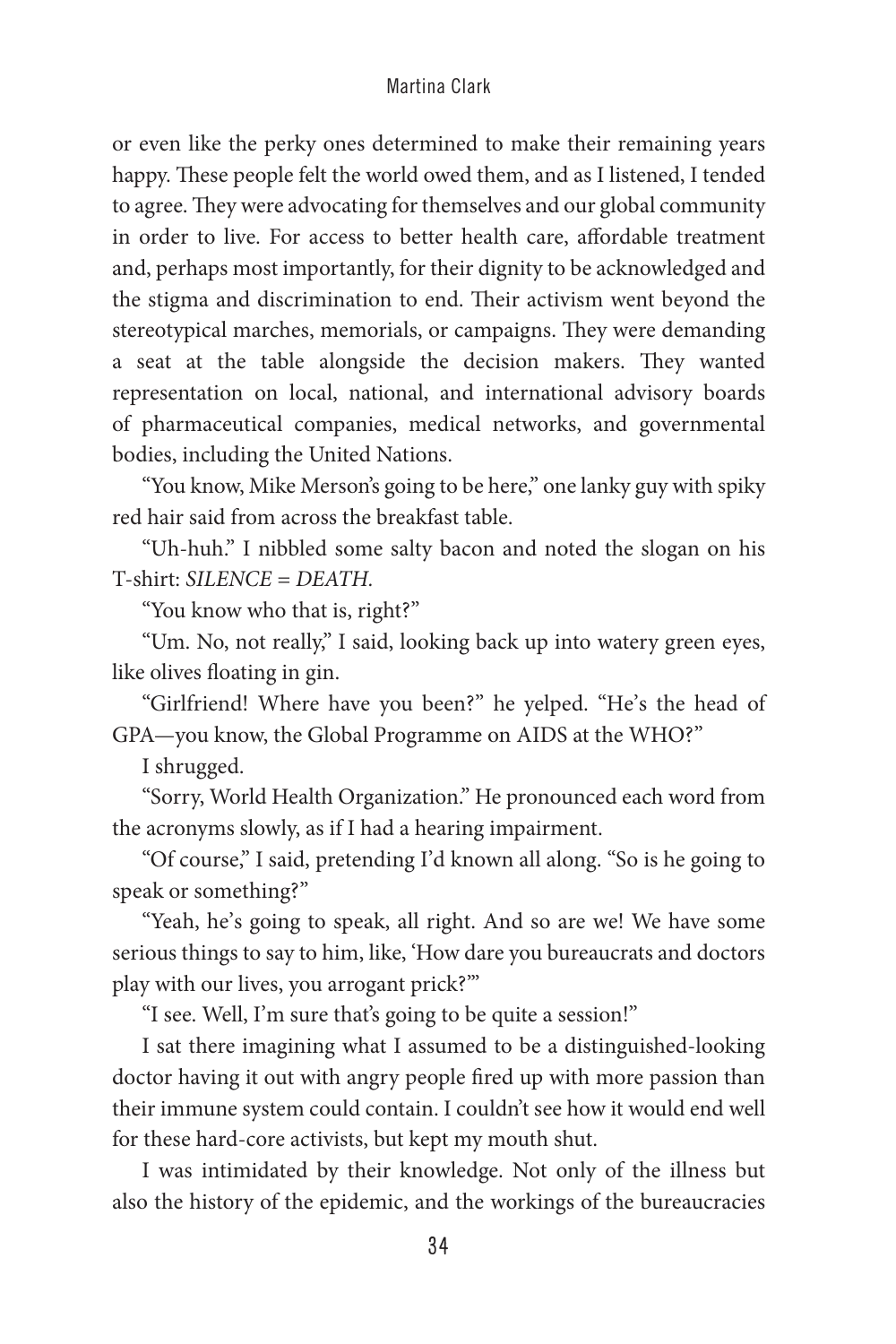or even like the perky ones determined to make their remaining years happy. These people felt the world owed them, and as I listened, I tended to agree. They were advocating for themselves and our global community in order to live. For access to better health care, affordable treatment and, perhaps most importantly, for their dignity to be acknowledged and the stigma and discrimination to end. Their activism went beyond the stereotypical marches, memorials, or campaigns. They were demanding a seat at the table alongside the decision makers. They wanted representation on local, national, and international advisory boards of pharmaceutical companies, medical networks, and governmental bodies, including the United Nations.

"You know, Mike Merson's going to be here," one lanky guy with spiky red hair said from across the breakfast table.

"Uh-huh." I nibbled some salty bacon and noted the slogan on his T-shirt: *SILENCE = DEATH.*

"You know who that is, right?"

"Um. No, not really," I said, looking back up into watery green eyes, like olives floating in gin.

"Girlfriend! Where have you been?" he yelped. "He's the head of GPA—you know, the Global Programme on AIDS at the WHO?"

I shrugged.

"Sorry, World Health Organization." He pronounced each word from the acronyms slowly, as if I had a hearing impairment.

"Of course," I said, pretending I'd known all along. "So is he going to speak or something?"

"Yeah, he's going to speak, all right. And so are we! We have some serious things to say to him, like, 'How dare you bureaucrats and doctors play with our lives, you arrogant prick?'"

"I see. Well, I'm sure that's going to be quite a session!"

I sat there imagining what I assumed to be a distinguished-looking doctor having it out with angry people fired up with more passion than their immune system could contain. I couldn't see how it would end well for these hard-core activists, but kept my mouth shut.

I was intimidated by their knowledge. Not only of the illness but also the history of the epidemic, and the workings of the bureaucracies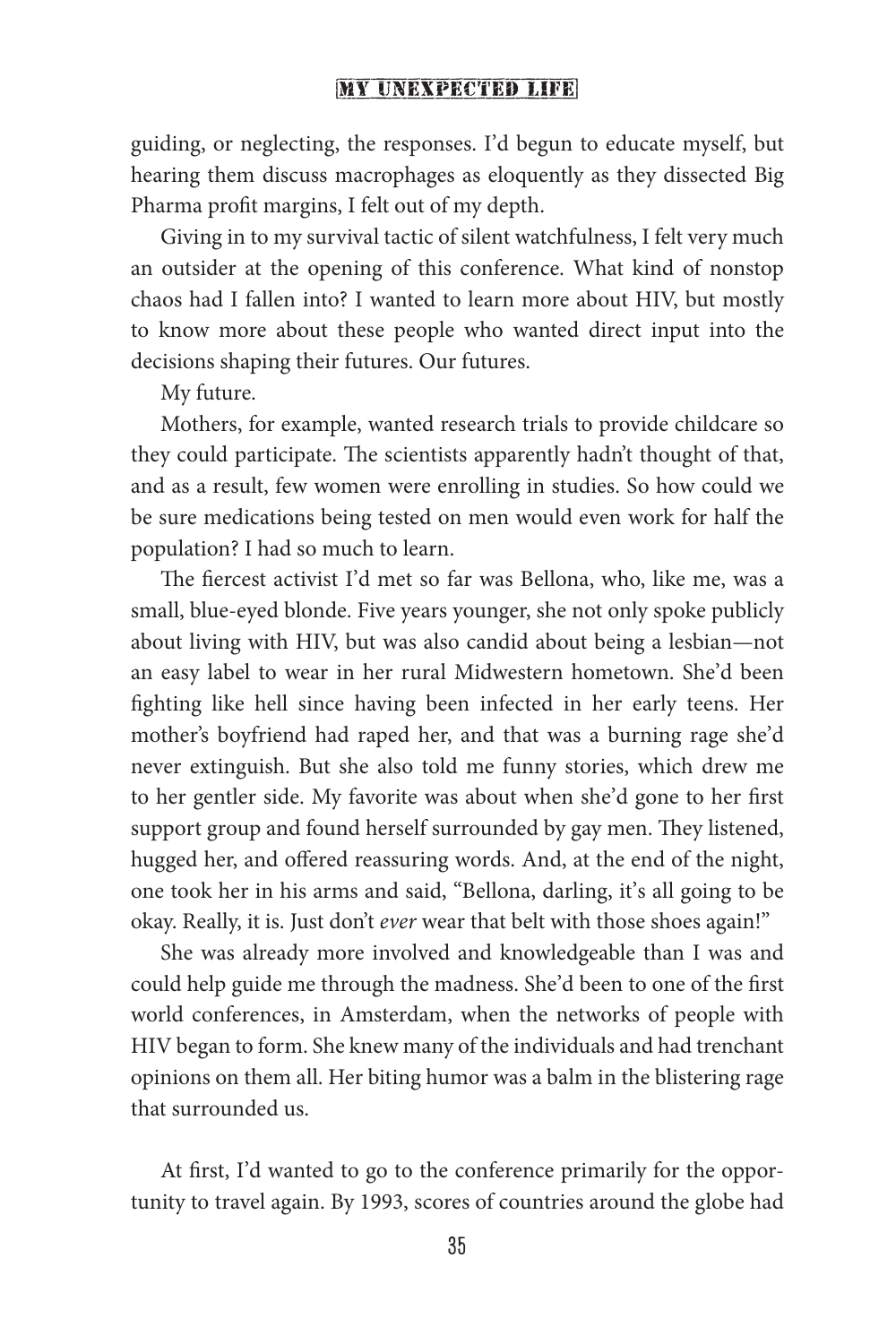guiding, or neglecting, the responses. I'd begun to educate myself, but hearing them discuss macrophages as eloquently as they dissected Big Pharma profit margins, I felt out of my depth.

Giving in to my survival tactic of silent watchfulness, I felt very much an outsider at the opening of this conference. What kind of nonstop chaos had I fallen into? I wanted to learn more about HIV, but mostly to know more about these people who wanted direct input into the decisions shaping their futures. Our futures.

My future.

Mothers, for example, wanted research trials to provide childcare so they could participate. The scientists apparently hadn't thought of that, and as a result, few women were enrolling in studies. So how could we be sure medications being tested on men would even work for half the population? I had so much to learn.

The fiercest activist I'd met so far was Bellona, who, like me, was a small, blue-eyed blonde. Five years younger, she not only spoke publicly about living with HIV, but was also candid about being a lesbian—not an easy label to wear in her rural Midwestern hometown. She'd been fighting like hell since having been infected in her early teens. Her mother's boyfriend had raped her, and that was a burning rage she'd never extinguish. But she also told me funny stories, which drew me to her gentler side. My favorite was about when she'd gone to her first support group and found herself surrounded by gay men. They listened, hugged her, and offered reassuring words. And, at the end of the night, one took her in his arms and said, "Bellona, darling, it's all going to be okay. Really, it is. Just don't *ever* wear that belt with those shoes again!"

She was already more involved and knowledgeable than I was and could help guide me through the madness. She'd been to one of the first world conferences, in Amsterdam, when the networks of people with HIV began to form. She knew many of the individuals and had trenchant opinions on them all. Her biting humor was a balm in the blistering rage that surrounded us.

At first, I'd wanted to go to the conference primarily for the opportunity to travel again. By 1993, scores of countries around the globe had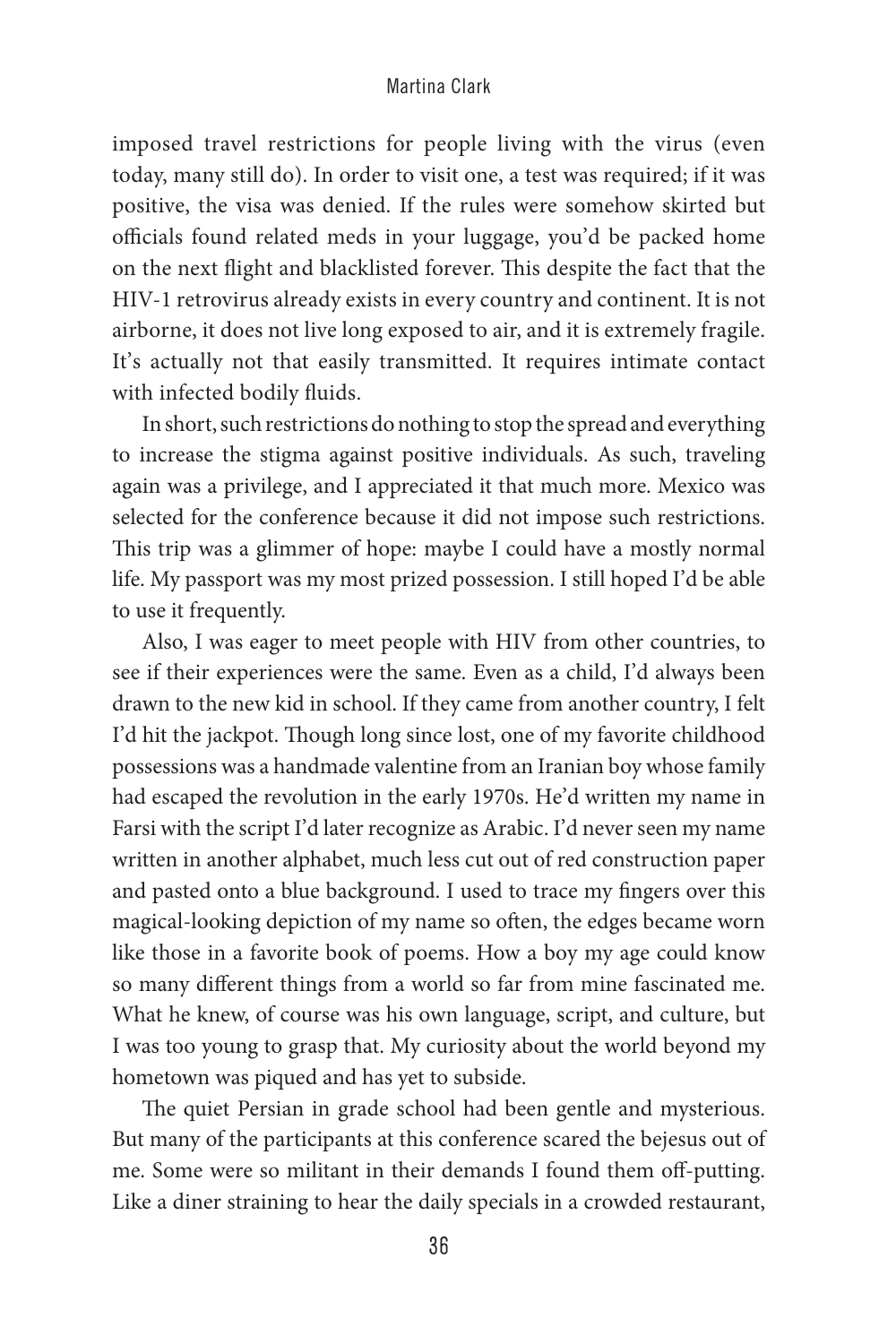imposed travel restrictions for people living with the virus (even today, many still do). In order to visit one, a test was required; if it was positive, the visa was denied. If the rules were somehow skirted but officials found related meds in your luggage, you'd be packed home on the next flight and blacklisted forever. This despite the fact that the HIV-1 retrovirus already exists in every country and continent. It is not airborne, it does not live long exposed to air, and it is extremely fragile. It's actually not that easily transmitted. It requires intimate contact with infected bodily fluids.

In short, such restrictions do nothing to stop the spread and everything to increase the stigma against positive individuals. As such, traveling again was a privilege, and I appreciated it that much more. Mexico was selected for the conference because it did not impose such restrictions. This trip was a glimmer of hope: maybe I could have a mostly normal life. My passport was my most prized possession. I still hoped I'd be able to use it frequently.

Also, I was eager to meet people with HIV from other countries, to see if their experiences were the same. Even as a child, I'd always been drawn to the new kid in school. If they came from another country, I felt I'd hit the jackpot. Though long since lost, one of my favorite childhood possessions was a handmade valentine from an Iranian boy whose family had escaped the revolution in the early 1970s. He'd written my name in Farsi with the script I'd later recognize as Arabic. I'd never seen my name written in another alphabet, much less cut out of red construction paper and pasted onto a blue background. I used to trace my fingers over this magical-looking depiction of my name so often, the edges became worn like those in a favorite book of poems. How a boy my age could know so many different things from a world so far from mine fascinated me. What he knew, of course was his own language, script, and culture, but I was too young to grasp that. My curiosity about the world beyond my hometown was piqued and has yet to subside.

The quiet Persian in grade school had been gentle and mysterious. But many of the participants at this conference scared the bejesus out of me. Some were so militant in their demands I found them off-putting. Like a diner straining to hear the daily specials in a crowded restaurant,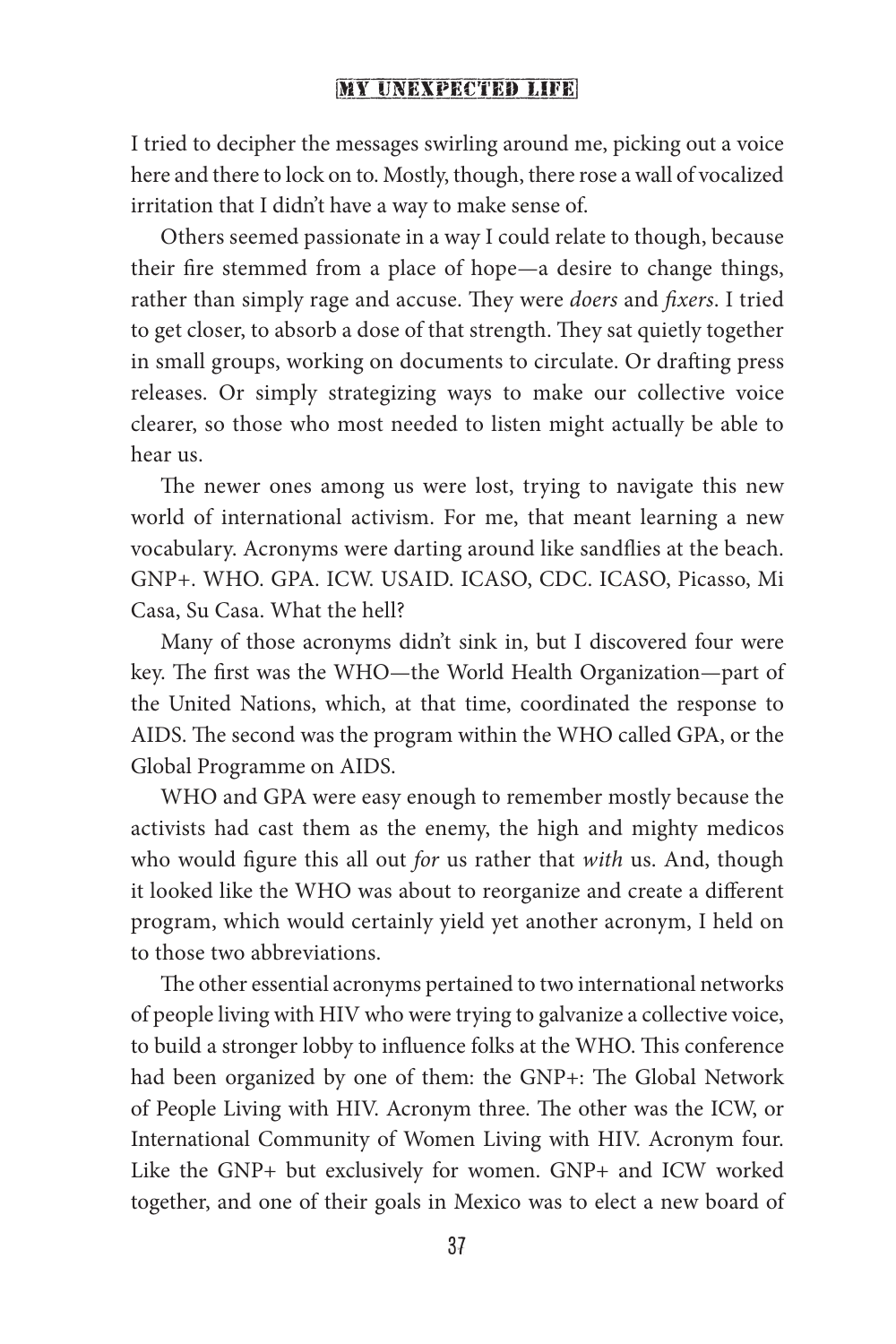I tried to decipher the messages swirling around me, picking out a voice here and there to lock on to. Mostly, though, there rose a wall of vocalized irritation that I didn't have a way to make sense of.

Others seemed passionate in a way I could relate to though, because their fire stemmed from a place of hope—a desire to change things, rather than simply rage and accuse. They were *doers* and *fixers*. I tried to get closer, to absorb a dose of that strength. They sat quietly together in small groups, working on documents to circulate. Or drafting press releases. Or simply strategizing ways to make our collective voice clearer, so those who most needed to listen might actually be able to hear us.

The newer ones among us were lost, trying to navigate this new world of international activism. For me, that meant learning a new vocabulary. Acronyms were darting around like sandflies at the beach. GNP+. WHO. GPA. ICW. USAID. ICASO, CDC. ICASO, Picasso, Mi Casa, Su Casa. What the hell?

Many of those acronyms didn't sink in, but I discovered four were key. The first was the WHO—the World Health Organization—part of the United Nations, which, at that time, coordinated the response to AIDS. The second was the program within the WHO called GPA, or the Global Programme on AIDS.

WHO and GPA were easy enough to remember mostly because the activists had cast them as the enemy, the high and mighty medicos who would figure this all out *for* us rather that *with* us. And, though it looked like the WHO was about to reorganize and create a different program, which would certainly yield yet another acronym, I held on to those two abbreviations.

The other essential acronyms pertained to two international networks of people living with HIV who were trying to galvanize a collective voice, to build a stronger lobby to influence folks at the WHO. This conference had been organized by one of them: the GNP+: The Global Network of People Living with HIV. Acronym three. The other was the ICW, or International Community of Women Living with HIV. Acronym four. Like the GNP+ but exclusively for women. GNP+ and ICW worked together, and one of their goals in Mexico was to elect a new board of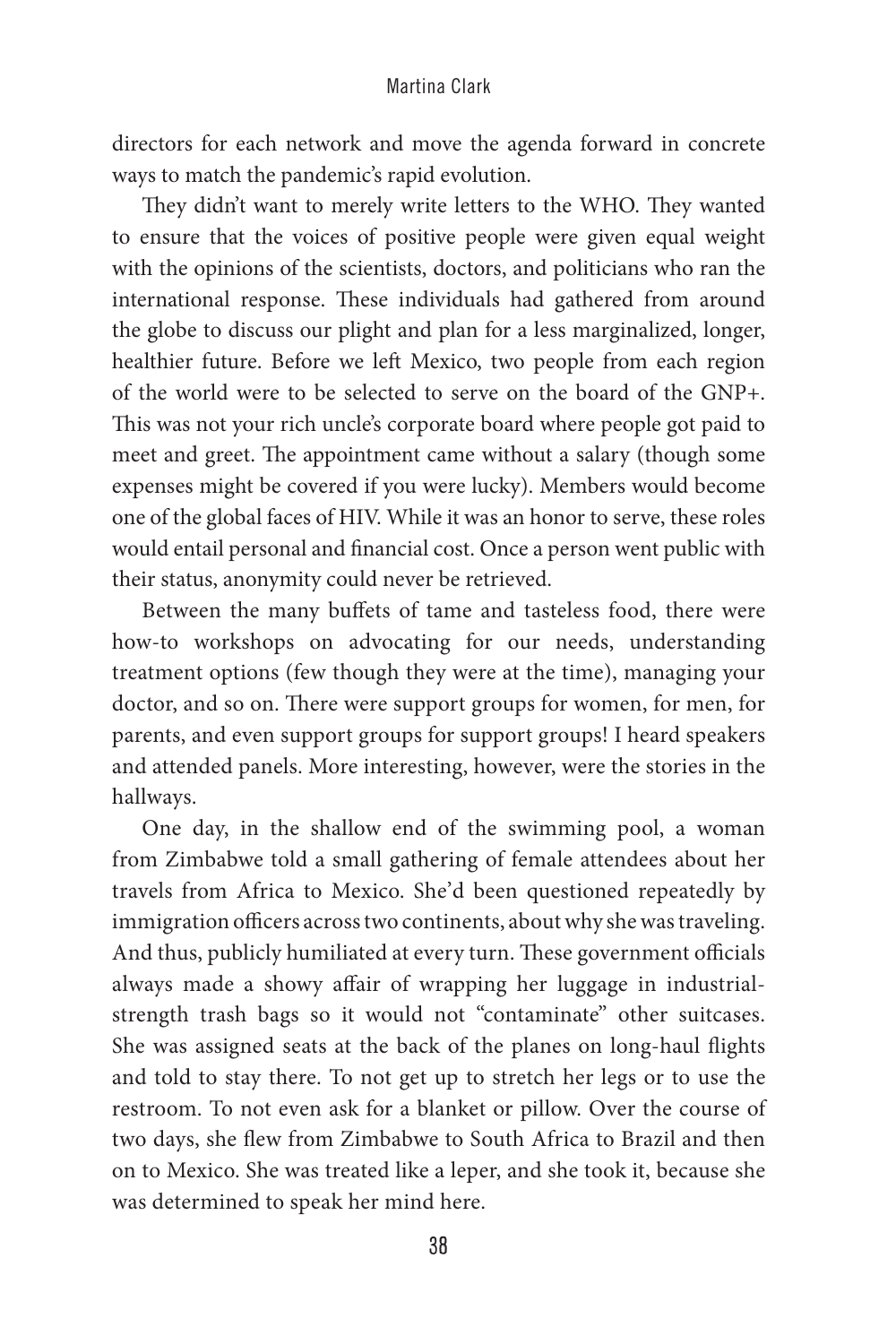directors for each network and move the agenda forward in concrete ways to match the pandemic's rapid evolution.

They didn't want to merely write letters to the WHO. They wanted to ensure that the voices of positive people were given equal weight with the opinions of the scientists, doctors, and politicians who ran the international response. These individuals had gathered from around the globe to discuss our plight and plan for a less marginalized, longer, healthier future. Before we left Mexico, two people from each region of the world were to be selected to serve on the board of the GNP+. This was not your rich uncle's corporate board where people got paid to meet and greet. The appointment came without a salary (though some expenses might be covered if you were lucky). Members would become one of the global faces of HIV. While it was an honor to serve, these roles would entail personal and financial cost. Once a person went public with their status, anonymity could never be retrieved.

Between the many buffets of tame and tasteless food, there were how-to workshops on advocating for our needs, understanding treatment options (few though they were at the time), managing your doctor, and so on. There were support groups for women, for men, for parents, and even support groups for support groups! I heard speakers and attended panels. More interesting, however, were the stories in the hallways.

One day, in the shallow end of the swimming pool, a woman from Zimbabwe told a small gathering of female attendees about her travels from Africa to Mexico. She'd been questioned repeatedly by immigration officers across two continents, about why she was traveling. And thus, publicly humiliated at every turn. These government officials always made a showy affair of wrapping her luggage in industrialstrength trash bags so it would not "contaminate" other suitcases. She was assigned seats at the back of the planes on long-haul flights and told to stay there. To not get up to stretch her legs or to use the restroom. To not even ask for a blanket or pillow. Over the course of two days, she flew from Zimbabwe to South Africa to Brazil and then on to Mexico. She was treated like a leper, and she took it, because she was determined to speak her mind here.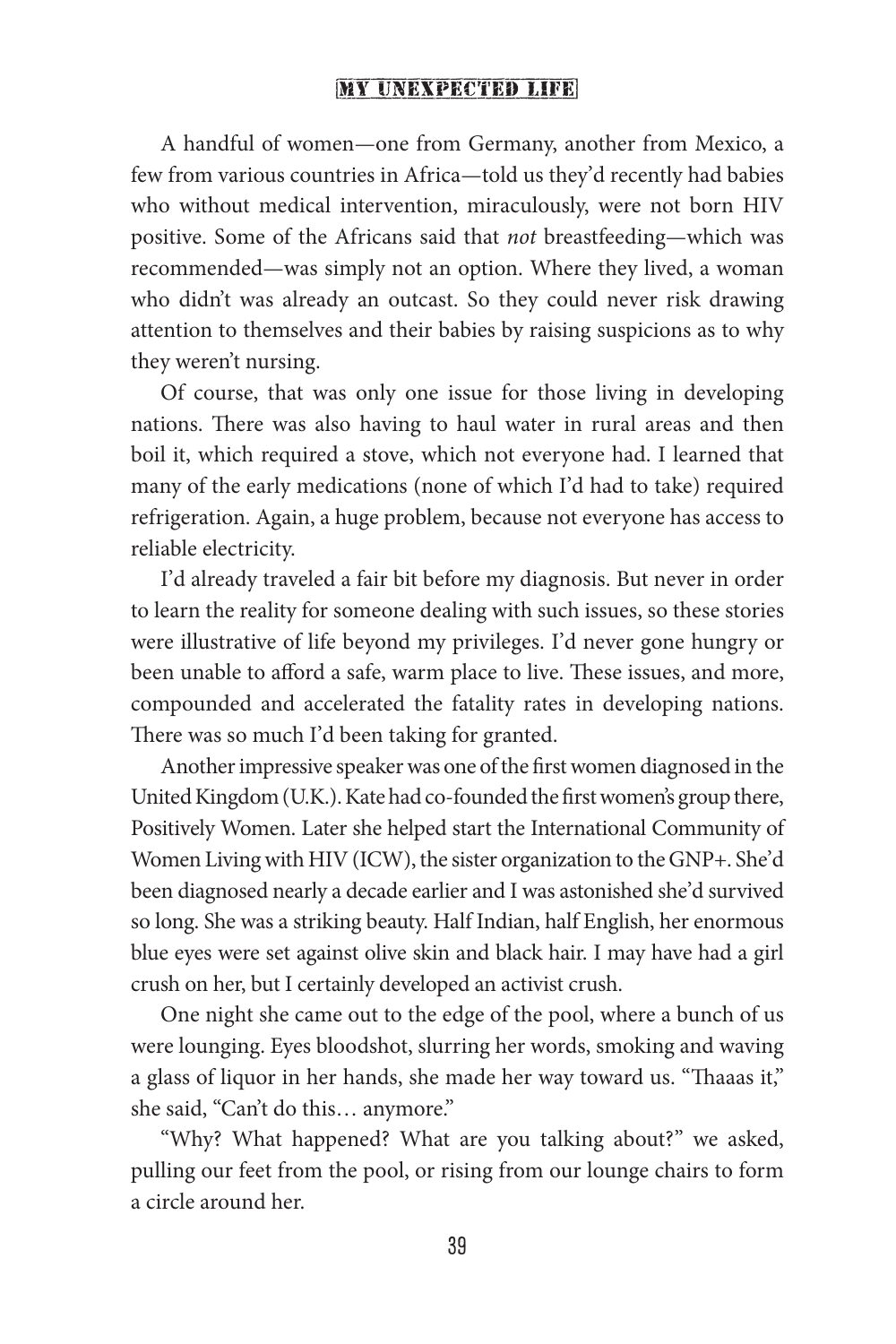A handful of women—one from Germany, another from Mexico, a few from various countries in Africa—told us they'd recently had babies who without medical intervention, miraculously, were not born HIV positive. Some of the Africans said that *not* breastfeeding—which was recommended—was simply not an option. Where they lived, a woman who didn't was already an outcast. So they could never risk drawing attention to themselves and their babies by raising suspicions as to why they weren't nursing.

Of course, that was only one issue for those living in developing nations. There was also having to haul water in rural areas and then boil it, which required a stove, which not everyone had. I learned that many of the early medications (none of which I'd had to take) required refrigeration. Again, a huge problem, because not everyone has access to reliable electricity.

I'd already traveled a fair bit before my diagnosis. But never in order to learn the reality for someone dealing with such issues, so these stories were illustrative of life beyond my privileges. I'd never gone hungry or been unable to afford a safe, warm place to live. These issues, and more, compounded and accelerated the fatality rates in developing nations. There was so much I'd been taking for granted.

Another impressive speaker was one of the first women diagnosed in the United Kingdom (U.K.). Kate had co-founded the first women's group there, Positively Women. Later she helped start the International Community of Women Living with HIV (ICW), the sister organization to the GNP+. She'd been diagnosed nearly a decade earlier and I was astonished she'd survived so long. She was a striking beauty. Half Indian, half English, her enormous blue eyes were set against olive skin and black hair. I may have had a girl crush on her, but I certainly developed an activist crush.

One night she came out to the edge of the pool, where a bunch of us were lounging. Eyes bloodshot, slurring her words, smoking and waving a glass of liquor in her hands, she made her way toward us. "Thaaas it," she said, "Can't do this… anymore."

"Why? What happened? What are you talking about?" we asked, pulling our feet from the pool, or rising from our lounge chairs to form a circle around her.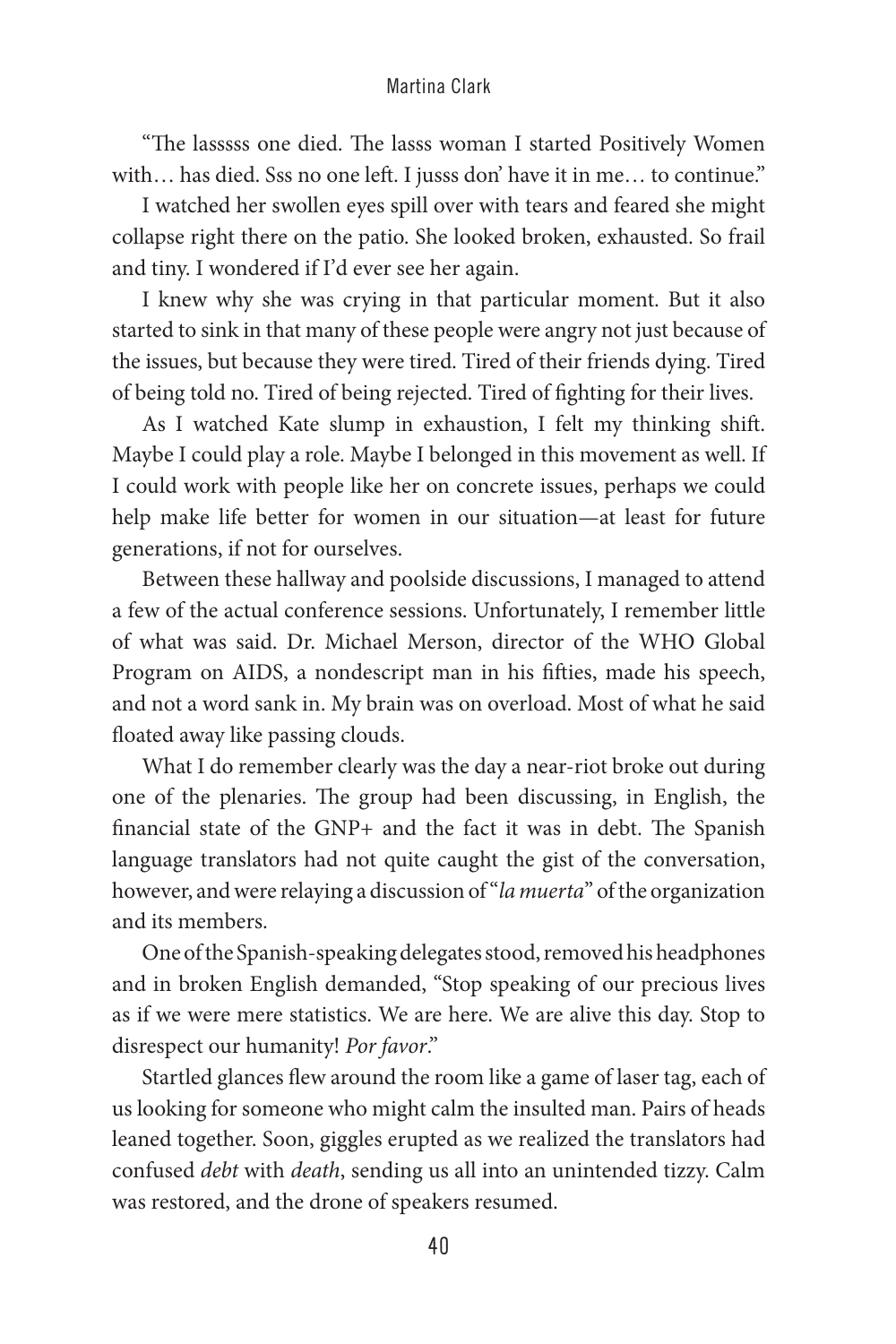"The lasssss one died. The lasss woman I started Positively Women with... has died. Sss no one left. I jusss don' have it in me... to continue."

I watched her swollen eyes spill over with tears and feared she might collapse right there on the patio. She looked broken, exhausted. So frail and tiny. I wondered if I'd ever see her again.

I knew why she was crying in that particular moment. But it also started to sink in that many of these people were angry not just because of the issues, but because they were tired. Tired of their friends dying. Tired of being told no. Tired of being rejected. Tired of fighting for their lives.

As I watched Kate slump in exhaustion, I felt my thinking shift. Maybe I could play a role. Maybe I belonged in this movement as well. If I could work with people like her on concrete issues, perhaps we could help make life better for women in our situation—at least for future generations, if not for ourselves.

Between these hallway and poolside discussions, I managed to attend a few of the actual conference sessions. Unfortunately, I remember little of what was said. Dr. Michael Merson, director of the WHO Global Program on AIDS, a nondescript man in his fifties, made his speech, and not a word sank in. My brain was on overload. Most of what he said floated away like passing clouds.

What I do remember clearly was the day a near-riot broke out during one of the plenaries. The group had been discussing, in English, the financial state of the GNP+ and the fact it was in debt. The Spanish language translators had not quite caught the gist of the conversation, however, and were relaying a discussion of "*la muerta*" of the organization and its members.

One of the Spanish-speaking delegates stood, removed his headphones and in broken English demanded, "Stop speaking of our precious lives as if we were mere statistics. We are here. We are alive this day. Stop to disrespect our humanity! *Por favor*."

Startled glances flew around the room like a game of laser tag, each of us looking for someone who might calm the insulted man. Pairs of heads leaned together. Soon, giggles erupted as we realized the translators had confused *debt* with *death*, sending us all into an unintended tizzy. Calm was restored, and the drone of speakers resumed.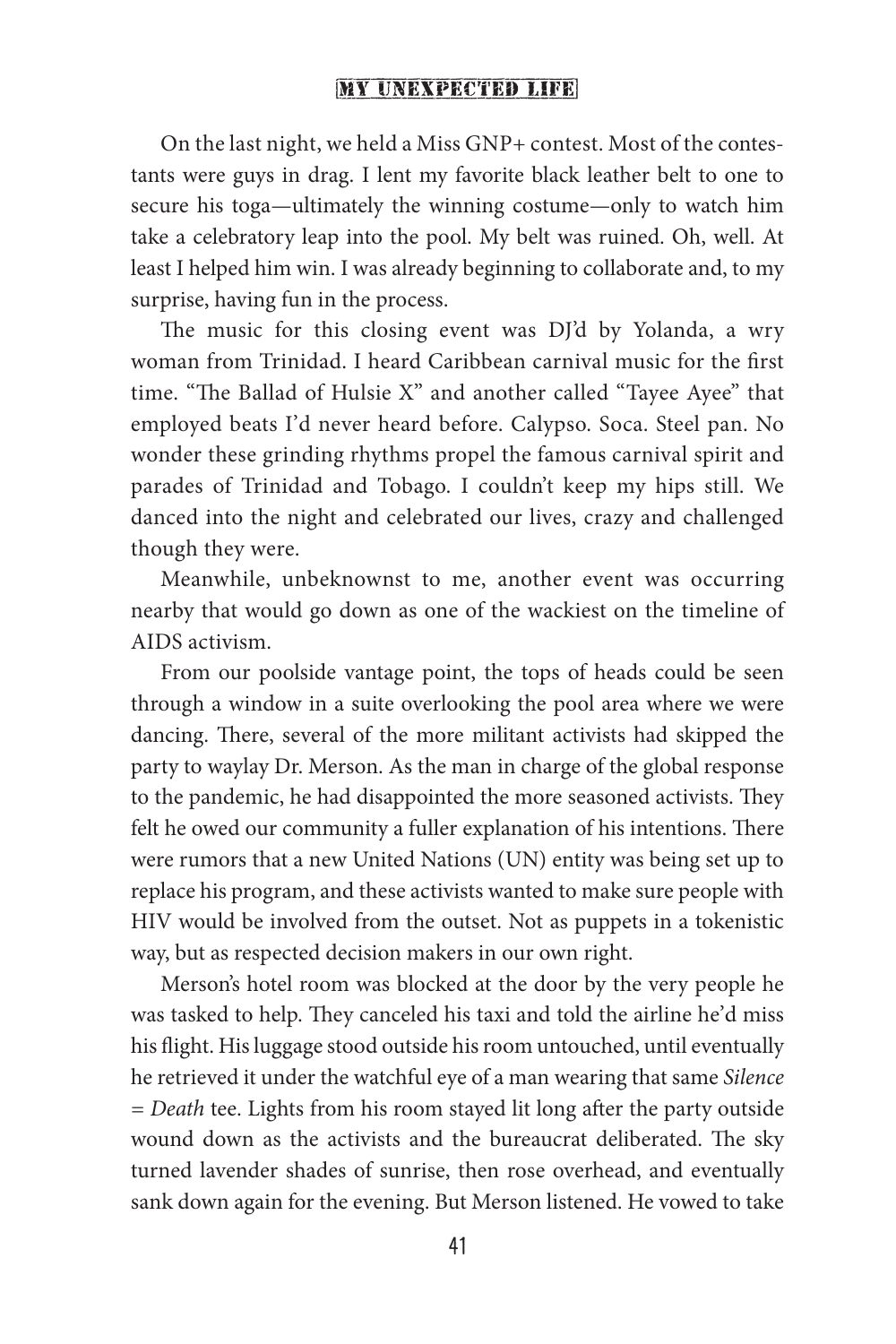On the last night, we held a Miss GNP+ contest. Most of the contestants were guys in drag. I lent my favorite black leather belt to one to secure his toga—ultimately the winning costume—only to watch him take a celebratory leap into the pool. My belt was ruined. Oh, well. At least I helped him win. I was already beginning to collaborate and, to my surprise, having fun in the process.

The music for this closing event was DJ'd by Yolanda, a wry woman from Trinidad. I heard Caribbean carnival music for the first time. "The Ballad of Hulsie X" and another called "Tayee Ayee" that employed beats I'd never heard before. Calypso. Soca. Steel pan. No wonder these grinding rhythms propel the famous carnival spirit and parades of Trinidad and Tobago. I couldn't keep my hips still. We danced into the night and celebrated our lives, crazy and challenged though they were.

Meanwhile, unbeknownst to me, another event was occurring nearby that would go down as one of the wackiest on the timeline of AIDS activism.

From our poolside vantage point, the tops of heads could be seen through a window in a suite overlooking the pool area where we were dancing. There, several of the more militant activists had skipped the party to waylay Dr. Merson. As the man in charge of the global response to the pandemic, he had disappointed the more seasoned activists. They felt he owed our community a fuller explanation of his intentions. There were rumors that a new United Nations (UN) entity was being set up to replace his program, and these activists wanted to make sure people with HIV would be involved from the outset. Not as puppets in a tokenistic way, but as respected decision makers in our own right.

Merson's hotel room was blocked at the door by the very people he was tasked to help. They canceled his taxi and told the airline he'd miss his flight. His luggage stood outside his room untouched, until eventually he retrieved it under the watchful eye of a man wearing that same *Silence*  = Death tee. Lights from his room stayed lit long after the party outside wound down as the activists and the bureaucrat deliberated. The sky turned lavender shades of sunrise, then rose overhead, and eventually sank down again for the evening. But Merson listened. He vowed to take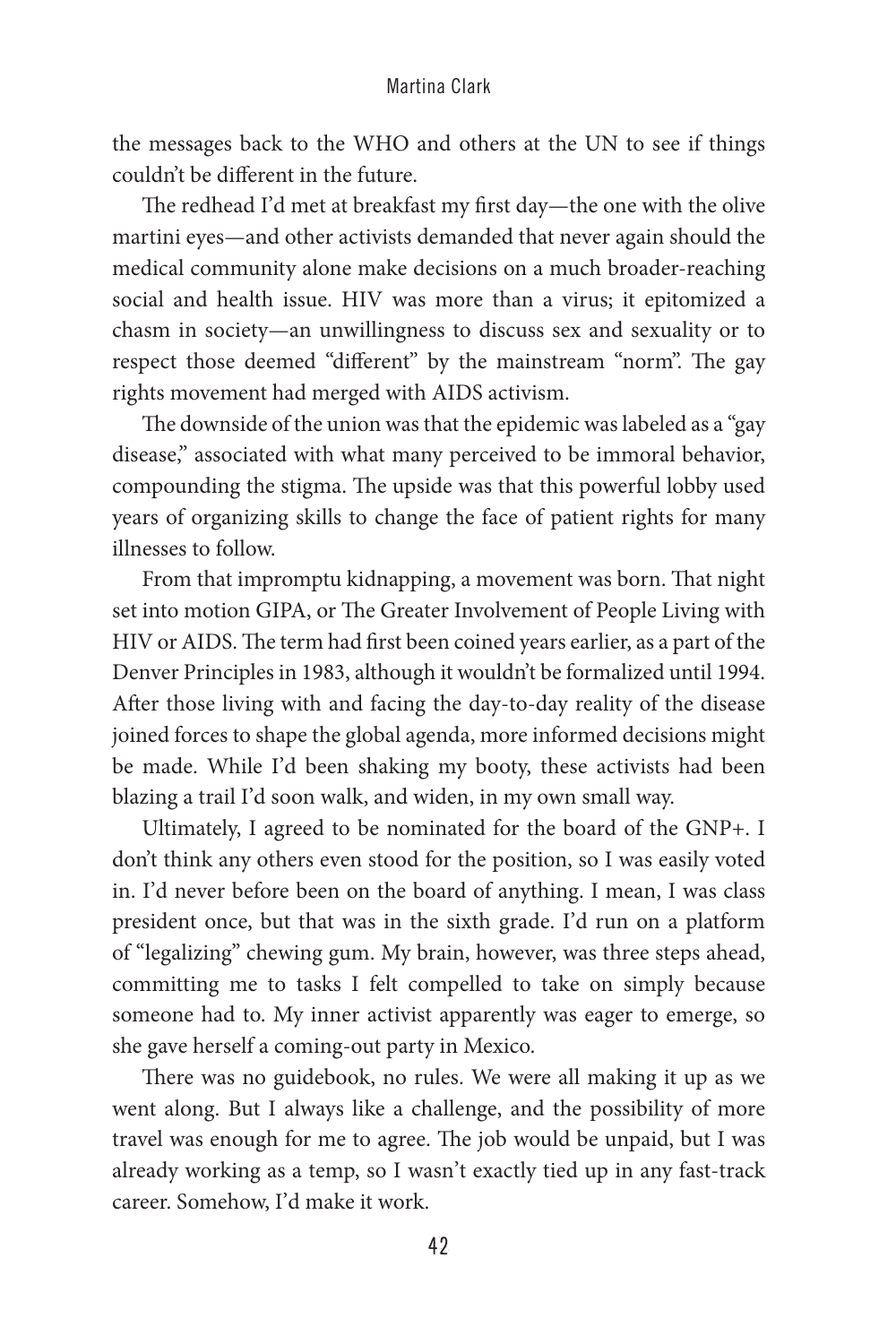the messages back to the WHO and others at the UN to see if things couldn't be different in the future.

The redhead I'd met at breakfast my first day—the one with the olive martini eyes—and other activists demanded that never again should the medical community alone make decisions on a much broader-reaching social and health issue. HIV was more than a virus; it epitomized a chasm in society—an unwillingness to discuss sex and sexuality or to respect those deemed "different" by the mainstream "norm". The gay rights movement had merged with AIDS activism.

The downside of the union was that the epidemic was labeled as a "gay disease," associated with what many perceived to be immoral behavior, compounding the stigma. The upside was that this powerful lobby used years of organizing skills to change the face of patient rights for many illnesses to follow.

From that impromptu kidnapping, a movement was born. That night set into motion GIPA, or The Greater Involvement of People Living with HIV or AIDS. The term had first been coined years earlier, as a part of the Denver Principles in 1983, although it wouldn't be formalized until 1994. After those living with and facing the day-to-day reality of the disease joined forces to shape the global agenda, more informed decisions might be made. While I'd been shaking my booty, these activists had been blazing a trail I'd soon walk, and widen, in my own small way.

Ultimately, I agreed to be nominated for the board of the GNP+. I don't think any others even stood for the position, so I was easily voted in. I'd never before been on the board of anything. I mean, I was class president once, but that was in the sixth grade. I'd run on a platform of "legalizing" chewing gum. My brain, however, was three steps ahead, committing me to tasks I felt compelled to take on simply because someone had to. My inner activist apparently was eager to emerge, so she gave herself a coming-out party in Mexico.

There was no guidebook, no rules. We were all making it up as we went along. But I always like a challenge, and the possibility of more travel was enough for me to agree. The job would be unpaid, but I was already working as a temp, so I wasn't exactly tied up in any fast-track career. Somehow, I'd make it work.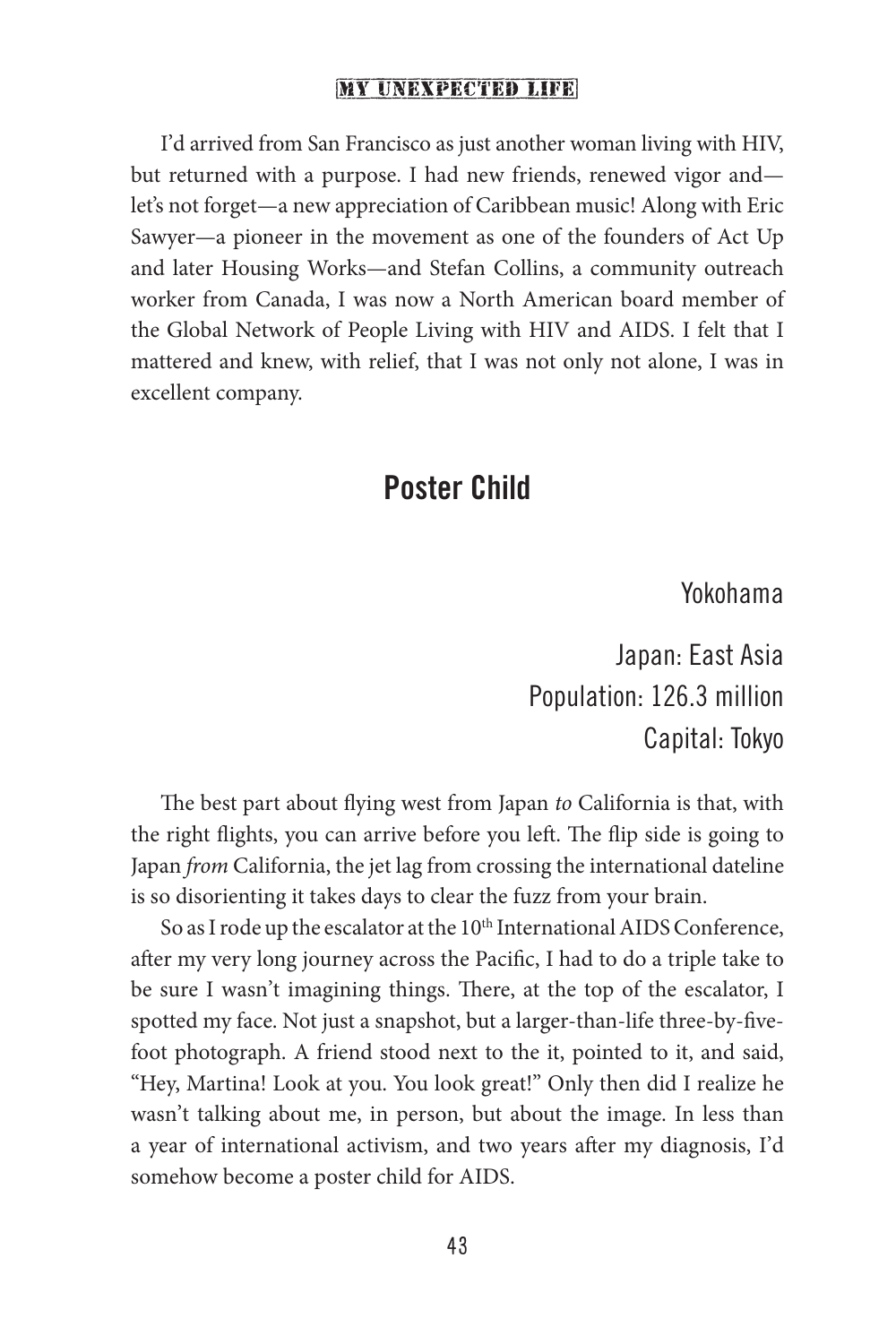I'd arrived from San Francisco as just another woman living with HIV, but returned with a purpose. I had new friends, renewed vigor and let's not forget—a new appreciation of Caribbean music! Along with Eric Sawyer—a pioneer in the movement as one of the founders of Act Up and later Housing Works—and Stefan Collins, a community outreach worker from Canada, I was now a North American board member of the Global Network of People Living with HIV and AIDS. I felt that I mattered and knew, with relief, that I was not only not alone, I was in excellent company.

### Poster Child

Yokohama

Japan: East Asia Population: 126.3 million Capital: Tokyo

The best part about flying west from Japan *to* California is that, with the right flights, you can arrive before you left. The flip side is going to Japan *from* California, the jet lag from crossing the international dateline is so disorienting it takes days to clear the fuzz from your brain.

So as I rode up the escalator at the 10<sup>th</sup> International AIDS Conference, after my very long journey across the Pacific, I had to do a triple take to be sure I wasn't imagining things. There, at the top of the escalator, I spotted my face. Not just a snapshot, but a larger-than-life three-by-fivefoot photograph. A friend stood next to the it, pointed to it, and said, "Hey, Martina! Look at you. You look great!" Only then did I realize he wasn't talking about me, in person, but about the image. In less than a year of international activism, and two years after my diagnosis, I'd somehow become a poster child for AIDS.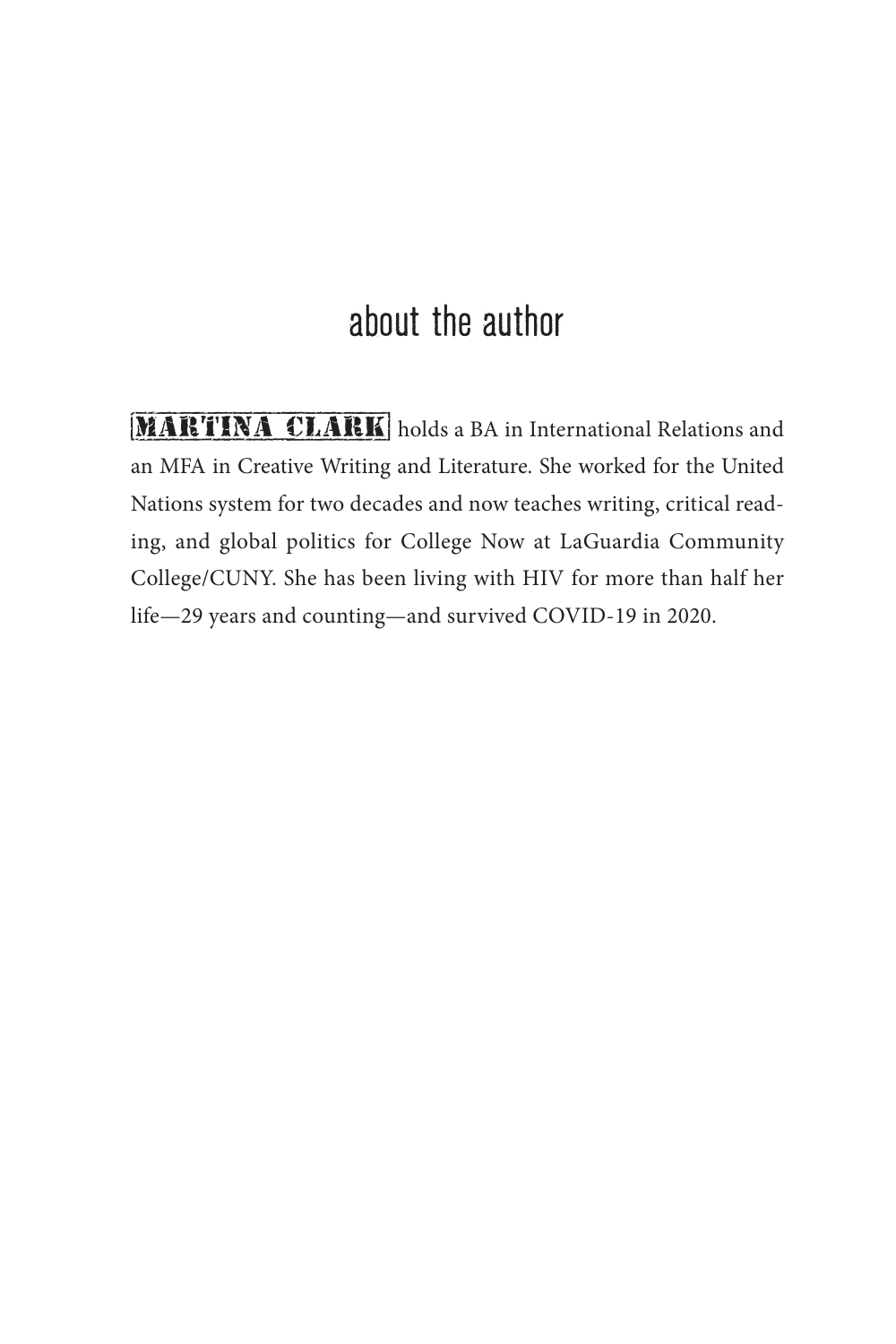# about the author

MARTINA CLARK holds a BA in International Relations and an MFA in Creative Writing and Literature. She worked for the United Nations system for two decades and now teaches writing, critical reading, and global politics for College Now at LaGuardia Community College/CUNY. She has been living with HIV for more than half her life—29 years and counting—and survived COVID-19 in 2020.